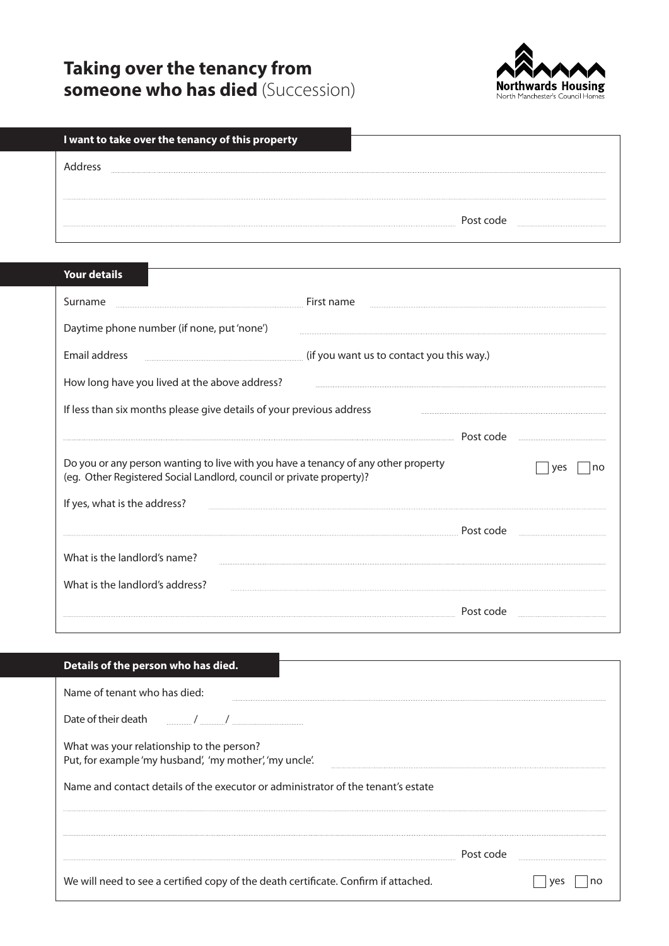## **Taking over the tenancy from someone who has died** (Succession)



| I want to take over the tenancy of this property |           |
|--------------------------------------------------|-----------|
| dracc                                            |           |
|                                                  |           |
|                                                  | Post code |
|                                                  |           |

## **Your details** Surname **Example 2020** 10 million measurement in the set of the First name and the set of the set of the set of the set of the set of the set of the set of the set of the set of the set of the set of the set of the set of Daytime phone number (if none, put 'none') Email address **Email address** (if you want us to contact you this way.) How long have you lived at the above address? If less than six months please give details of your previous address Post code Do you or any person wanting to live with you have a tenancy of any other property  $\Box$  yes  $\Box$  no (eg. Other Registered Social Landlord, council or private property)? If yes, what is the address? Post code What is the landlord's name? What is the landlord's address? Post code

| Details of the person who has died.                                                                  |           |
|------------------------------------------------------------------------------------------------------|-----------|
| Name of tenant who has died:                                                                         |           |
| Date of their death [10] [10] / [10] Date of their death                                             |           |
| What was your relationship to the person?<br>Put, for example 'my husband', 'my mother', 'my uncle'. |           |
| Name and contact details of the executor or administrator of the tenant's estate                     |           |
|                                                                                                      |           |
|                                                                                                      | Post code |
| We will need to see a certified copy of the death certificate. Confirm if attached.                  |           |